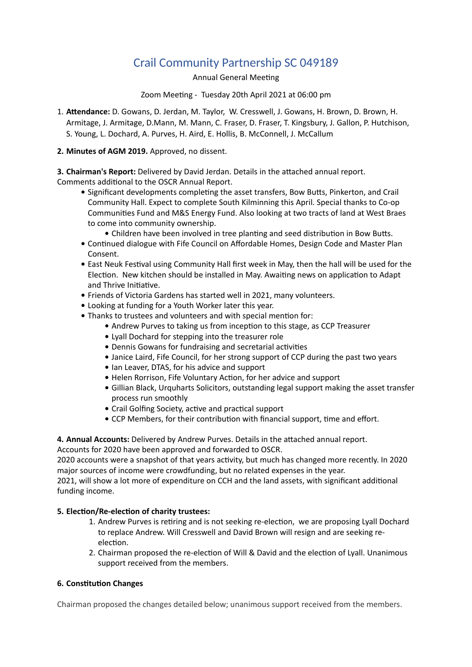## Crail Community Partnership SC 049189

Annual General Meeting

Zoom Meeting - Tuesday 20th April 2021 at 06:00 pm

- 1. **Attendance:** D. Gowans, D. Jerdan, M. Taylor, W. Cresswell, J. Gowans, H. Brown, D. Brown, H. Armitage, J. Armitage, D.Mann, M. Mann, C. Fraser, D. Fraser, T. Kingsbury, J. Gallon, P. Hutchison, S. Young, L. Dochard, A. Purves, H. Aird, E. Hollis, B. McConnell, J. McCallum
- **2. Minutes of AGM 2019.** Approved, no dissent.

**3. Chairman's Report:** Delivered by David Jerdan. Details in the attached annual report. Comments additional to the OSCR Annual Report.

- **•** Significant developments completing the asset transfers, Bow Butts, Pinkerton, and Crail Community Hall. Expect to complete South Kilminning this April. Special thanks to Co-op Communities Fund and M&S Energy Fund. Also looking at two tracts of land at West Braes to come into community ownership.
	- **•** Children have been involved in tree planting and seed distribution in Bow Butts.
- **•** Continued dialogue with Fife Council on Affordable Homes, Design Code and Master Plan Consent.
- **•** East Neuk Festival using Community Hall first week in May, then the hall will be used for the Election. New kitchen should be installed in May. Awaiting news on application to Adapt and Thrive Initiative.
- **•** Friends of Victoria Gardens has started well in 2021, many volunteers.
- **•** Looking at funding for a Youth Worker later this year.
- **•** Thanks to trustees and volunteers and with special mention for:
	- **•** Andrew Purves to taking us from inception to this stage, as CCP Treasurer
	- **•** Lyall Dochard for stepping into the treasurer role
	- **•** Dennis Gowans for fundraising and secretarial activities
	- **•** Janice Laird, Fife Council, for her strong support of CCP during the past two years
	- **•** Ian Leaver, DTAS, for his advice and support
	- **•** Helen Rorrison, Fife Voluntary Action, for her advice and support
	- **•** Gillian Black, Urquharts Solicitors, outstanding legal support making the asset transfer process run smoothly
	- **•** Crail Golfing Society, active and practical support
	- **•** CCP Members, for their contribution with financial support, time and effort.

**4. Annual Accounts:** Delivered by Andrew Purves. Details in the attached annual report.

Accounts for 2020 have been approved and forwarded to OSCR.

2020 accounts were a snapshot of that years activity, but much has changed more recently. In 2020 major sources of income were crowdfunding, but no related expenses in the year.

2021, will show a lot more of expenditure on CCH and the land assets, with significant additional funding income.

## **5. Election/Re-election of charity trustees:**

- 1. Andrew Purves is retiring and is not seeking re-election, we are proposing Lyall Dochard to replace Andrew. Will Cresswell and David Brown will resign and are seeking reelection.
- 2. Chairman proposed the re-election of Will & David and the election of Lyall. Unanimous support received from the members.

## **6. Constitution Changes**

Chairman proposed the changes detailed below; unanimous support received from the members.